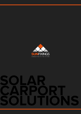

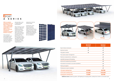# EPORT **A SERIES**

**With its anodised aluminium frame, the Eport A Series is, by nature, a lightweight and durable carport system that is ideal for enhancing homeowners' properties and small business car parks.** 

This aluminium frame together with the stainless steel connection elements, ensure the system's high level resistance to corrosion and

discolouration, even in highly polluted environments.

When thinking of solar panels, it is often the traditional opaque version with a metal frame finish that is often at the forefront, and whilst they work perfectly with our Eport A Series, there is a fully glass module alternative that offers a greater emphasis on aesthetics, firmly integrating their

appearance into the overall design.

Furthermore, when these fully glass modules are used within the Eport A Series design, the roof is made completely waterproof, offering more protection from the elements to the car beneath it.





**Additional extras:** Guttering systems, LED lighting, EV charging points, cabling from inverter to connection point.



| Eport A Series framework                     |  |  |
|----------------------------------------------|--|--|
| Electrical inverter                          |  |  |
| Fully glass modules                          |  |  |
| Full carport project management              |  |  |
| Electrical components (i.e. cabling etc.)    |  |  |
| AutoCAD drawings & 3D detailing              |  |  |
| Structural & engineering calculations        |  |  |
| Groundwork excavation & concrete foundations |  |  |
| Delivery & logistics                         |  |  |
| Professional carport installation            |  |  |
| <b>1 Car (price starting from)</b>           |  |  |
| <b>2 Cars (price starting from)</b>          |  |  |
| <b>Canopy (price starting from)</b>          |  |  |
|                                              |  |  |

| <b>Standard</b><br><b>Package</b> | <b>Premium</b><br><b>Package</b> |
|-----------------------------------|----------------------------------|
|                                   | $\blacktriangledown$             |
| ✔                                 | ✔                                |
| ✔                                 | $\blacktriangledown$             |
|                                   | $\blacktriangledown$             |
|                                   | $\blacktriangledown$             |
|                                   | $\blacktriangledown$             |
|                                   | $\blacktriangledown$             |
|                                   | $\blacktriangledown$             |
|                                   | $\blacktriangledown$             |
|                                   | $\blacktriangledown$             |
| £7,090                            | £9,790                           |
| £11,150                           | £15,450                          |
| £7,190                            | £9,790                           |



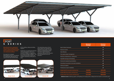

# FPORT **S SERIES**

**Manufactured from a galvanised**  ...........<br>el structure, the Epo<u>rt</u> **creates a strong and lasting carport that is perfect for larger car parks and commercial premises.** 

We adopt the hot-dipped galvanisation process in accordance to the BS EN ISO 1461 Standard, to coat all of the steel elements after

all the welding, cutting and drilling happens.

Furthermore, we specify the thickness simply by multiplying the design. of this galvanisation coat to be a minimum of 400g/m, as opposed to the industry average of 200g/m. This from the elements to the cars ensures that the Eport S Series has a lifetime expectancy of 50 years or more.

The interlocking nature of the S Series allows it be extended and optimised across larger car parks, The roof is made completely waterproof, offering more protection beneath it.







| <b>Eport S Series framework</b>                   |  |  |
|---------------------------------------------------|--|--|
| <b>Electrical inverter</b>                        |  |  |
| <b>Solar Modules</b>                              |  |  |
| Full carport project management                   |  |  |
| Electrical components (i.e. cabling etc.)         |  |  |
| AutoCAD drawings & 3D detailing                   |  |  |
| Structural & engineering calculations             |  |  |
| Groundwork excavation & concrete foundations      |  |  |
| Delivery & logistics                              |  |  |
| Professional carport installation                 |  |  |
| <b>Single South 10 cars (price starting from)</b> |  |  |
| Double EW 20 cars (price starting from)           |  |  |
| Double South 20 cars (price starting from)        |  |  |
|                                                   |  |  |

**Single South Double South Double EW Additional extras:** Guttering systems, LED lighting, EV charging points, cabling from the inverter to connection point.

| <b>Standard</b><br><b>Package</b> | <b>Premium</b><br><b>Package</b> |
|-----------------------------------|----------------------------------|
| $\blacktriangledown$              | $\blacktriangledown$             |
|                                   | $\blacktriangledown$             |
|                                   | V                                |
|                                   | $\checkmark$                     |
|                                   | $\blacktriangledown$             |
|                                   | $\blacktriangledown$             |
|                                   | $\blacktriangledown$             |
|                                   | V                                |
|                                   | $\blacktriangledown$             |
|                                   |                                  |
| £9,950                            | £41,210                          |
| £19,900                           | E74,520                          |
| £21,000                           | £80,620                          |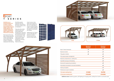#### FPORT **T SERIES**

**Aesthetics are a prominent feature for our Eport T Series, as it incorporates an elegant timber structure design together with integrated glass solar modules, providing an idyllic addition to any homeowner's property.** 

Not only do these fully glass modules generate cleaner electricity that can be used inside the home, but they also provide a completely waterproof roof covering

that offers greater protection from the elements, particularly in the winter months, to the car beneath it.

They also allow better control of how much natural light filters through to the underside, as the distance between the actual panel's cells can be increased. This means that the space underneath can still benefit from receiving natural light. There is a choice to

close in one or more walls of the Carport to offer more protection to the car, or alternatively, single Y shaped supports can be used to maximise the space in and around the Carport.

Additionally, the T Series can be used within the garden, to create a covered area for any terrace or patio space.



**Additional extras:** Guttering systems, LED lighting, EV charging points, cabling from inverter to connection point.







| 2 Cars (price starting from)                 |  |
|----------------------------------------------|--|
| <b>1 Car (price starting from)</b>           |  |
| Professional carport installation            |  |
| Delivery & logistics                         |  |
| Groundwork excavation & concrete foundations |  |
| Structural & engineering calculations        |  |
| AutoCAD drawings & 3D detailing              |  |
| Electrical components (i.e. cabling etc.)    |  |
| Full carport project management              |  |
| Fully glass modules                          |  |
| Electrical inverter                          |  |
| Eport T Series framework                     |  |

| <b>Standard</b><br><b>Package</b> | <b>Premium</b><br><b>Package</b> |
|-----------------------------------|----------------------------------|
| ✔                                 | ✔                                |
| $\blacktriangledown$              | $\blacktriangledown$             |
|                                   | $\blacktriangledown$             |
|                                   | $\blacktriangledown$             |
|                                   | $\blacktriangledown$             |
|                                   | ✔                                |
|                                   | $\blacktriangledown$             |
|                                   | $\blacktriangledown$             |
|                                   | $\blacktriangledown$             |
|                                   | $\blacktriangledown$             |
| £7,090                            | £9,790                           |
| £10,650                           | £14,950                          |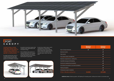

# FPORT **CANOPY**

**The Canopu's ve design offers a greater scope in its application for both public and private premises, ranging from walkways, smoking areas and, more typically, car parking facilities.** 

Its single structural post, which is manufactured to the same high quality hot-dipped galvanisation process as our S Series, it presents

the perfect economical solution that As with all our Eport range, careful combines urban regeneration with renewable energy.

Since traditional solar panels can easily be attached to the Canopy's roof, local businesses can start to benefit right away from the cleaner electricity that is generated.

consideration is made during planning to ensure all car parking spaces retain their original function, as it is our aim to enhance these valuable spaces rather than lose them.





**Additional extras:** Guttering systems, LED lighting, EV charging points, cabling from inverter to connection point.

| <b>Eport Canopy framework</b>                |  |  |
|----------------------------------------------|--|--|
| <b>Electrical inverter</b>                   |  |  |
| Solar panels                                 |  |  |
| Full carport project management              |  |  |
| Electrical components (i.e. cabling etc.)    |  |  |
| AutoCAD drawings & 3D detailing              |  |  |
| Structural & engineering calculations        |  |  |
| Groundwork excavation & concrete foundations |  |  |
| Delivery & logistics                         |  |  |
| Professional carport installation            |  |  |
| 10 Cars - 25m (price starting from)          |  |  |

| <b>Standard</b><br><b>Package</b> | <b>Premium</b><br><b>Package</b> |
|-----------------------------------|----------------------------------|
|                                   |                                  |
|                                   |                                  |
|                                   |                                  |
|                                   |                                  |
|                                   |                                  |
|                                   |                                  |
|                                   |                                  |
|                                   |                                  |
|                                   |                                  |
|                                   |                                  |
| £4,500                            | £27,250                          |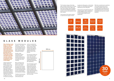

#### **GLASS MODULES**

**When thinking of solar panels, it is often the traditional opaque version with a metal frame finish that is often at the forefront, and whilst they worth perfectly with our Eport Series, there is a fully glass module alternative that offers a greater emphasis on aesthetics, firmly integrating into the overall design.**

Unlike standard PV panels, which are strictly opaque, fully glass modules have the ability to control how much natural light filters through to the underside. This is because the distance between the individual cells that make up a single unit, can be increased according to the level of transparency required. This means that parking spaces do not necessarily need to lose all of their natural light, simply by using fully glass modules.

Another major advantage of glass modules against standard solar panels, is the fact that they do not suffer from micro cracking.

Micro cracking is the process in which the silicon wafer within the solar cells become damaged and cracked due to stresses exerted on them through factors such as, wind loading and temperate changes.

Traditional solar panels are at a greater risk of this because the

cells are sandwiched between a single glass layer and the plastic backing sheet, which results in the different materials flexing at different rates under tension.

The long term effects of micro cracking on the solar cells can often lead to diminishing their energy performance, while also limiting their life expectancy.

The technology used in glass modules, offers proportionate flexing within the materials in order to minimise the tension applied to the solar cells and therefore, vastly reducing the chance of micro cracking from occurring.







The frameless design of the fully glass modules means that it is harder for dust to stick to their edges and their nano coating, which is applied during the anti-reflection treatment process, ensures dirt particles roll off their surface.

The structure of the glass module is made from two layers of 2mm

toughened safety glass, as this helps to give it an extremely long lifetime expectancy of over 50 years.

These pieces of toughened glass are welded together with a particularly durable POE lamination, which is very similar to that of a car windscreen.

With their commitment to aesthetics and durable high performance, our glass modules range sets a new realisation and advances the possibility that solar can be firmly embedded into any of our carport solutions.

990 mm

1980 mm

086

 $\overline{\rm{m}}$